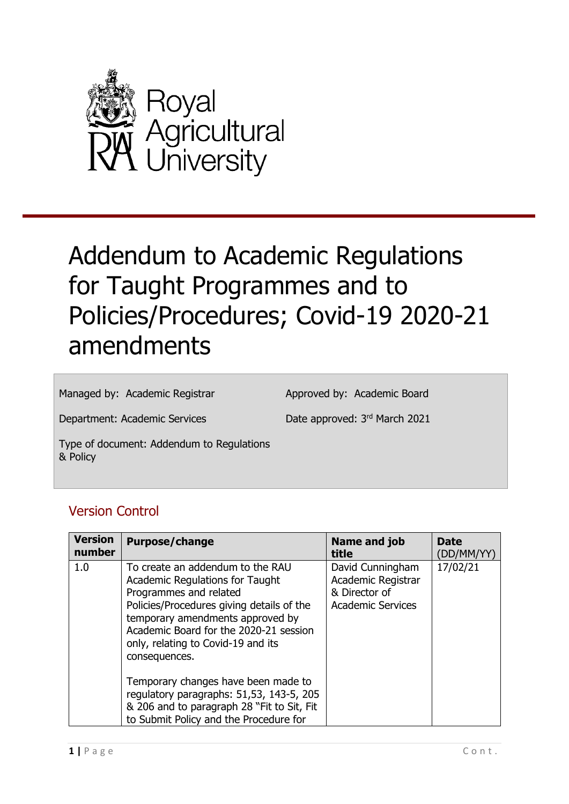

# Addendum to Academic Regulations for Taught Programmes and to Policies/Procedures; Covid-19 2020-21 amendments

Managed by: Academic Registrar

Approved by: Academic Board

Department: Academic Services

Date approved: 3rd March 2021

Type of document: Addendum to Regulations & Policy

#### Version Control

| <b>Version</b><br>number | <b>Purpose/change</b>                                                                                                                                                                                                                                                                  | Name and job<br>title                                                               | <b>Date</b><br>(DD/MM/YY) |
|--------------------------|----------------------------------------------------------------------------------------------------------------------------------------------------------------------------------------------------------------------------------------------------------------------------------------|-------------------------------------------------------------------------------------|---------------------------|
| 1.0                      | To create an addendum to the RAU<br><b>Academic Regulations for Taught</b><br>Programmes and related<br>Policies/Procedures giving details of the<br>temporary amendments approved by<br>Academic Board for the 2020-21 session<br>only, relating to Covid-19 and its<br>consequences. | David Cunningham<br>Academic Registrar<br>& Director of<br><b>Academic Services</b> | 17/02/21                  |
|                          | Temporary changes have been made to<br>regulatory paragraphs: 51,53, 143-5, 205<br>& 206 and to paragraph 28 "Fit to Sit, Fit<br>to Submit Policy and the Procedure for                                                                                                                |                                                                                     |                           |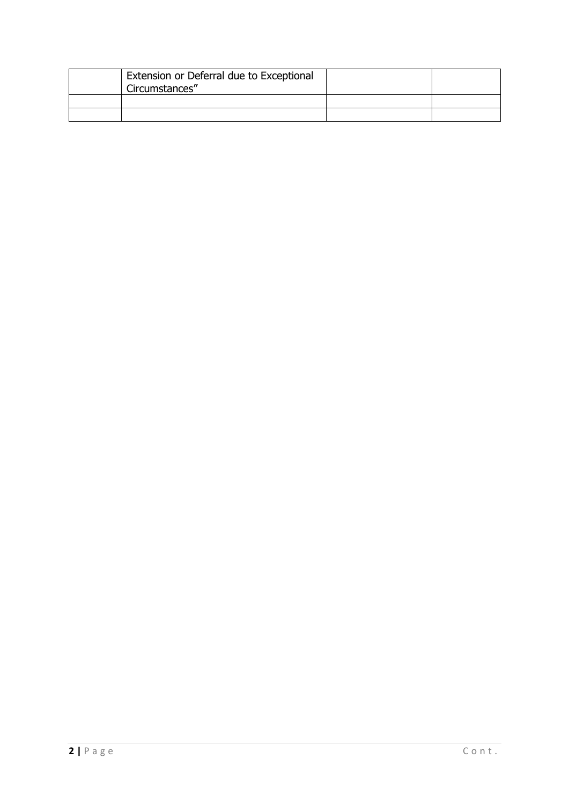| Extension or Deferral due to Exceptional<br>Circumstances" |  |
|------------------------------------------------------------|--|
|                                                            |  |
|                                                            |  |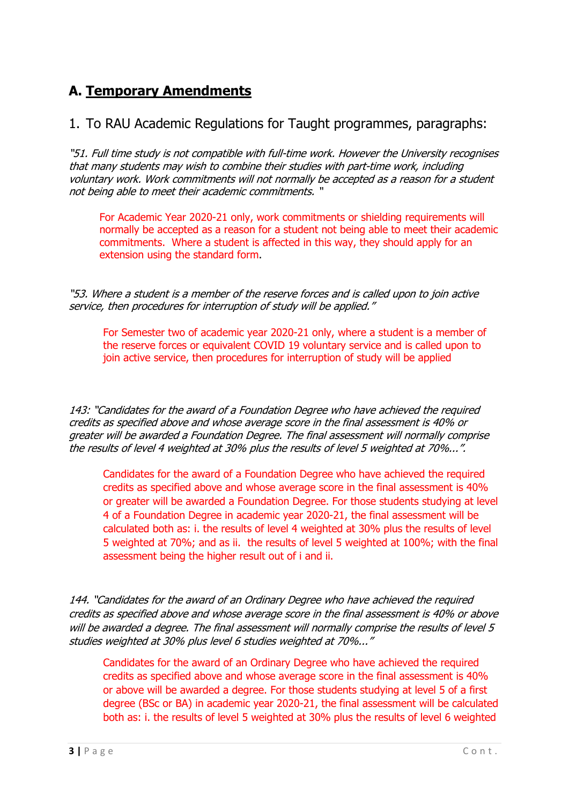## **A. Temporary Amendments**

#### 1. To RAU Academic Regulations for Taught programmes, paragraphs:

"51. Full time study is not compatible with full-time work. However the University recognises that many students may wish to combine their studies with part-time work, including voluntary work. Work commitments will not normally be accepted as a reason for a student not being able to meet their academic commitments. "

For Academic Year 2020-21 only, work commitments or shielding requirements will normally be accepted as a reason for a student not being able to meet their academic commitments. Where a student is affected in this way, they should apply for an extension using the standard form.

"53. Where a student is a member of the reserve forces and is called upon to join active service, then procedures for interruption of study will be applied."

For Semester two of academic year 2020-21 only, where a student is a member of the reserve forces or equivalent COVID 19 voluntary service and is called upon to join active service, then procedures for interruption of study will be applied

143: "Candidates for the award of a Foundation Degree who have achieved the required credits as specified above and whose average score in the final assessment is 40% or greater will be awarded a Foundation Degree. The final assessment will normally comprise the results of level 4 weighted at 30% plus the results of level 5 weighted at 70%...".

Candidates for the award of a Foundation Degree who have achieved the required credits as specified above and whose average score in the final assessment is 40% or greater will be awarded a Foundation Degree. For those students studying at level 4 of a Foundation Degree in academic year 2020-21, the final assessment will be calculated both as: i. the results of level 4 weighted at 30% plus the results of level 5 weighted at 70%; and as ii. the results of level 5 weighted at 100%; with the final assessment being the higher result out of i and ii.

144. "Candidates for the award of an Ordinary Degree who have achieved the required credits as specified above and whose average score in the final assessment is 40% or above will be awarded a degree. The final assessment will normally comprise the results of level 5 studies weighted at 30% plus level 6 studies weighted at 70%..."

Candidates for the award of an Ordinary Degree who have achieved the required credits as specified above and whose average score in the final assessment is 40% or above will be awarded a degree. For those students studying at level 5 of a first degree (BSc or BA) in academic year 2020-21, the final assessment will be calculated both as: i. the results of level 5 weighted at 30% plus the results of level 6 weighted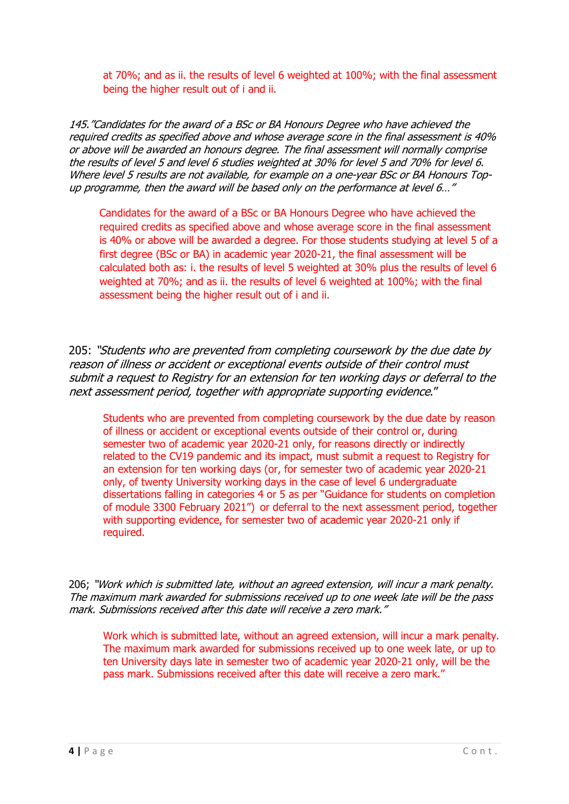at 70%; and as ii. the results of level 6 weighted at 100%; with the final assessment being the higher result out of i and ii.

145."Candidates for the award of a BSc or BA Honours Degree who have achieved the required credits as specified above and whose average score in the final assessment is 40% or above will be awarded an honours degree. The final assessment will normally comprise the results of level 5 and level 6 studies weighted at 30% for level 5 and 70% for level 6. Where level 5 results are not available, for example on a one-year BSc or BA Honours Topup programme, then the award will be based only on the performance at level 6…"

Candidates for the award of a BSc or BA Honours Degree who have achieved the required credits as specified above and whose average score in the final assessment is 40% or above will be awarded a degree. For those students studying at level 5 of a first degree (BSc or BA) in academic year 2020-21, the final assessment will be calculated both as: i. the results of level 5 weighted at 30% plus the results of level 6 weighted at 70%; and as ii. the results of level 6 weighted at 100%; with the final assessment being the higher result out of i and ii.

205: "Students who are prevented from completing coursework by the due date by reason of illness or accident or exceptional events outside of their control must submit a request to Registry for an extension for ten working days or deferral to the next assessment period, together with appropriate supporting evidence."

Students who are prevented from completing coursework by the due date by reason of illness or accident or exceptional events outside of their control or, during semester two of academic year 2020-21 only, for reasons directly or indirectly related to the CV19 pandemic and its impact, must submit a request to Registry for an extension for ten working days (or, for semester two of academic year 2020-21 only, of twenty University working days in the case of level 6 undergraduate dissertations falling in categories 4 or 5 as per "Guidance for students on completion of module 3300 February 2021") or deferral to the next assessment period, together with supporting evidence, for semester two of academic year 2020-21 only if required.

206; "Work which is submitted late, without an agreed extension, will incur a mark penalty. The maximum mark awarded for submissions received up to one week late will be the pass mark. Submissions received after this date will receive a zero mark."

Work which is submitted late, without an agreed extension, will incur a mark penalty. The maximum mark awarded for submissions received up to one week late, or up to ten University days late in semester two of academic year 2020-21 only, will be the pass mark. Submissions received after this date will receive a zero mark."